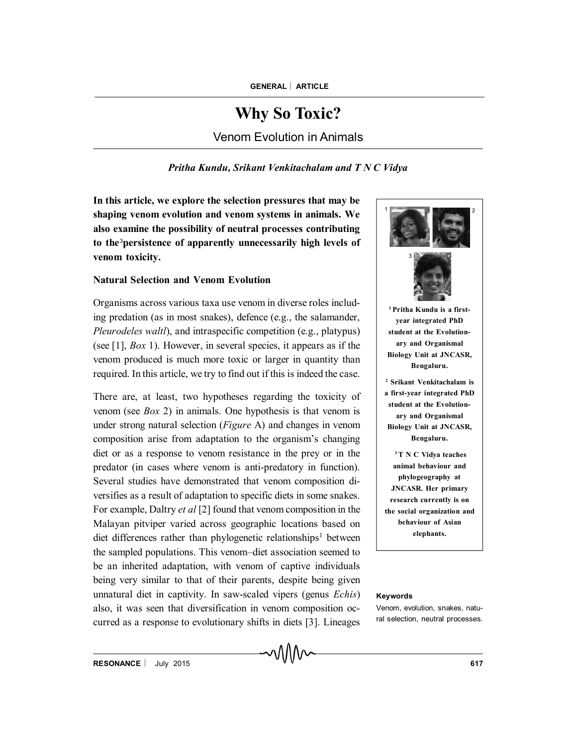# **Why So Toxic?**

# Venom Evolution in Animals

# *Pritha Kundu, Srikant Venkitachalam and T N C Vidya*

to the<sup>3</sup>persistence of apparently unnecessarily high levels of **In this article, we explore the selection pressures that may be shaping venom evolution and venom systems in animals. We also examine the possibility of neutral processes contributing venom toxicity.**

# **Natural Selection and Venom Evolution**

Organisms across various taxa use venom in diverse roles including predation (as in most snakes), defence (e.g., the salamander, *Pleurodeles waltl*), and intraspecific competition (e.g., platypus) (see [1], *Box* 1). However, in several species, it appears as if the venom produced is much more toxic or larger in quantity than required. In this article, we try to find out if this is indeed the case.

There are, at least, two hypotheses regarding the toxicity of venom (see *Box* 2) in animals. One hypothesis is that venom is under strong natural selection (*Figure* A) and changes in venom composition arise from adaptation to the organism's changing diet or as a response to venom resistance in the prey or in the predator (in cases where venom is anti-predatory in function). Several studies have demonstrated that venom composition diversifies as a result of adaptation to specific diets in some snakes. For example, Daltry *et al* [2] found that venom composition in the Malayan pitviper varied across geographic locations based on diet differences rather than phylogenetic relationships<sup>1</sup> between the sampled populations. This venom–diet association seemed to be an inherited adaptation, with venom of captive individuals being very similar to that of their parents, despite being given unnatural diet in captivity. In saw-scaled vipers (genus *Echis*) also, it was seen that diversification in venom composition occurred as a response to evolutionary shifts in diets [3]. Lineages



#### **Keywords**

Venom, evolution, snakes, natural selection, neutral processes.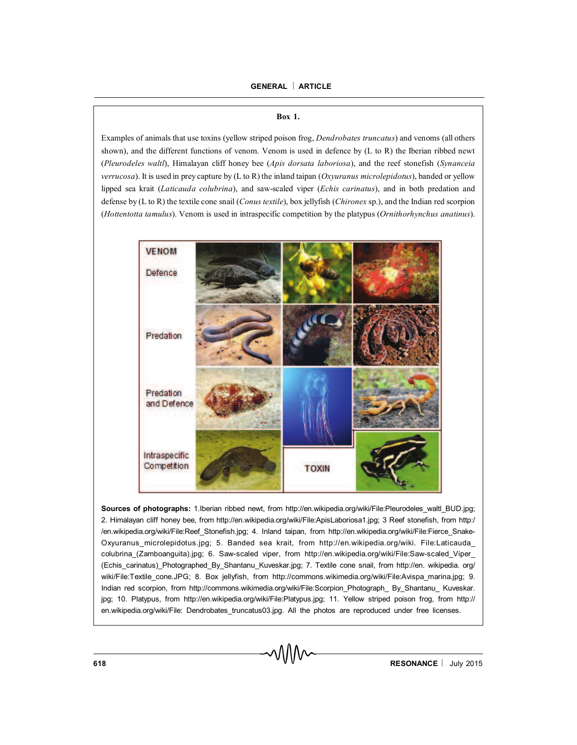#### **Box 1.**

Examples of animals that use toxins (yellow striped poison frog, *Dendrobates truncatus*) and venoms (all others shown), and the different functions of venom. Venom is used in defence by (L to R) the Iberian ribbed newt (*Pleurodeles waltl*), Himalayan cliff honey bee (*Apis dorsata laboriosa*), and the reef stonefish (*Synanceia verrucosa*). It is used in prey capture by (L to R) the inland taipan (*Oxyuranus microlepidotus*), banded or yellow lipped sea krait (*Laticauda colubrina*), and saw-scaled viper (*Echis carinatus*), and in both predation and defense by (L to R) the textile cone snail (*Conus textile*), box jellyfish (*Chironex* sp.), and the Indian red scorpion (*Hottentotta tamulus*). Venom is used in intraspecific competition by the platypus (*Ornithorhynchus anatinus*).



**Sources of photographs:** 1.Iberian ribbed newt, from http://en.wikipedia.org/wiki/File:Pleurodeles\_waltl\_BUD.jpg; 2. Himalayan cliff honey bee, from http://en.wikipedia.org/wiki/File:ApisLaboriosa1.jpg; 3 Reef stonefish, from http:/ /en.wikipedia.org/wiki/File:Reef\_Stonefish.jpg; 4. Inland taipan, from http://en.wikipedia.org/wiki/File:Fierce\_Snake-Oxyuranus\_microlepidotus.jpg; 5. Banded sea krait, from http://en.wikipedia.org/wiki. File:Laticauda\_ colubrina\_(Zamboanguita).jpg; 6. Saw-scaled viper, from http://en.wikipedia.org/wiki/File:Saw-scaled\_Viper\_ (Echis\_carinatus)\_Photographed\_By\_Shantanu\_Kuveskar.jpg; 7. Textile cone snail, from http://en. wikipedia. org/ wiki/File:Textile\_cone.JPG; 8. Box jellyfish, from http://commons.wikimedia.org/wiki/File:Avispa\_marina.jpg; 9. Indian red scorpion, from http://commons.wikimedia.org/wiki/File:Scorpion\_Photograph\_ By\_Shantanu\_ Kuveskar. jpg; 10. Platypus, from http://en.wikipedia.org/wiki/File:Platypus.jpg; 11. Yellow striped poison frog, from http:// en.wikipedia.org/wiki/File: Dendrobates\_truncatus03.jpg. All the photos are reproduced under free licenses.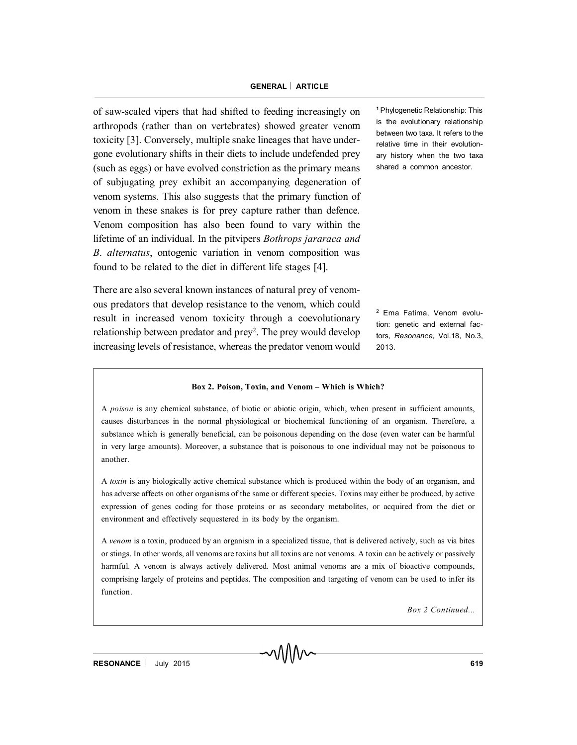of saw-scaled vipers that had shifted to feeding increasingly on arthropods (rather than on vertebrates) showed greater venom toxicity [3]. Conversely, multiple snake lineages that have undergone evolutionary shifts in their diets to include undefended prey (such as eggs) or have evolved constriction as the primary means of subjugating prey exhibit an accompanying degeneration of venom systems. This also suggests that the primary function of venom in these snakes is for prey capture rather than defence. Venom composition has also been found to vary within the lifetime of an individual. In the pitvipers *Bothrops jararaca and B*. *alternatus*, ontogenic variation in venom composition was found to be related to the diet in different life stages [4].

There are also several known instances of natural prey of venomous predators that develop resistance to the venom, which could result in increased venom toxicity through a coevolutionary relationship between predator and prey 2 . The prey would develop increasing levels of resistance, whereas the predator venom would **<sup>1</sup>** Phylogenetic Relationship: This is the evolutionary relationship between two taxa. It refers to the relative time in their evolutionary history when the two taxa shared a common ancestor.

<sup>2</sup> Ema Fatima, Venom evolution: genetic and external factors, *Resonance*, Vol.18, No.3, 2013.

#### **Box 2. Poison, Toxin, and Venom – Which is Which?**

A *poison* is any chemical substance, of biotic or abiotic origin, which, when present in sufficient amounts, causes disturbances in the normal physiological or biochemical functioning of an organism. Therefore, a substance which is generally beneficial, can be poisonous depending on the dose (even water can be harmful in very large amounts). Moreover, a substance that is poisonous to one individual may not be poisonous to another.

A *toxin* is any biologically active chemical substance which is produced within the body of an organism, and has adverse affects on other organisms of the same or different species. Toxins may either be produced, by active expression of genes coding for those proteins or as secondary metabolites, or acquired from the diet or environment and effectively sequestered in its body by the organism.

A *venom* is a toxin, produced by an organism in a specialized tissue, that is delivered actively, such as via bites or stings. In other words, all venoms are toxins but all toxins are not venoms. A toxin can be actively or passively harmful. A venom is always actively delivered. Most animal venoms are a mix of bioactive compounds, comprising largely of proteins and peptides. The composition and targeting of venom can be used to infer its function.

*Box 2 Continued...*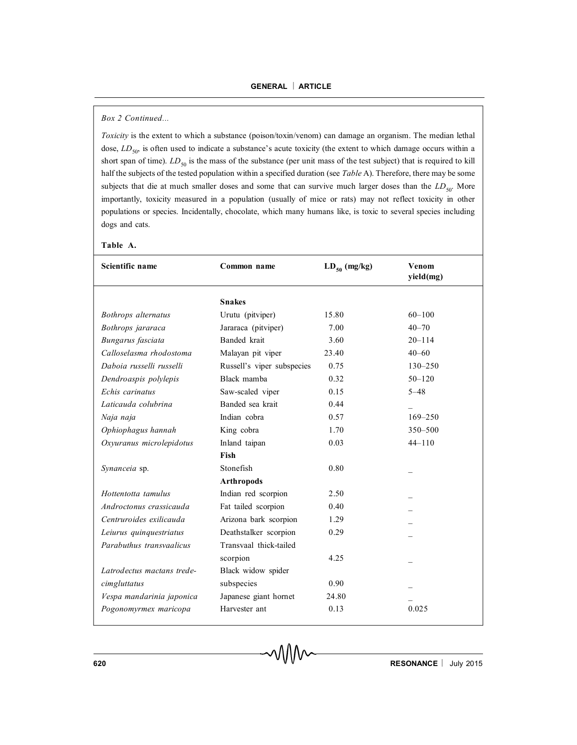#### *Box 2 Continued...*

*Toxicity* is the extent to which a substance (poison/toxin/venom) can damage an organism. The median lethal dose,  $LD_{50}$ , is often used to indicate a substance's acute toxicity (the extent to which damage occurs within a short span of time). *LD*<sub>50</sub> is the mass of the substance (per unit mass of the test subject) that is required to kill half the subjects of the tested population within a specified duration (see *Table* A). Therefore, there may be some subjects that die at much smaller doses and some that can survive much larger doses than the *LD*<sub>50</sub>. More importantly, toxicity measured in a population (usually of mice or rats) may not reflect toxicity in other populations or species. Incidentally, chocolate, which many humans like, is toxic to several species including dogs and cats.

#### **Table A.**

| Scientific name            | Common name                | $LD_{50}$ (mg/kg) | Venom<br>yield(mg) |
|----------------------------|----------------------------|-------------------|--------------------|
|                            |                            |                   |                    |
|                            | <b>Snakes</b>              |                   |                    |
| Bothrops alternatus        | Urutu (pitviper)           | 15.80             | $60 - 100$         |
| Bothrops jararaca          | Jararaca (pitviper)        | 7.00              | $40 - 70$          |
| Bungarus fasciata          | Banded krait               | 3.60              | $20 - 114$         |
| Calloselasma rhodostoma    | Malayan pit viper          | 23.40             | $40 - 60$          |
| Daboia russelli russelli   | Russell's viper subspecies | 0.75              | $130 - 250$        |
| Dendroaspis polylepis      | Black mamba                | 0.32              | $50 - 120$         |
| Echis carinatus            | Saw-scaled viper           | 0.15              | $5 - 48$           |
| Laticauda colubrina        | Banded sea krait           | 0.44              |                    |
| Naja naja                  | Indian cobra               | 0.57              | $169 - 250$        |
| Ophiophagus hannah         | King cobra                 | 1.70              | $350 - 500$        |
| Oxyuranus microlepidotus   | Inland taipan              | 0.03              | $44 - 110$         |
|                            | <b>Fish</b>                |                   |                    |
| Synanceia sp.              | Stonefish                  | 0.80              |                    |
|                            | <b>Arthropods</b>          |                   |                    |
| Hottentotta tamulus        | Indian red scorpion        | 2.50              |                    |
| Androctonus crassicauda    | Fat tailed scorpion        | 0.40              |                    |
| Centruroides exilicauda    | Arizona bark scorpion      | 1.29              |                    |
| Leiurus quinquestriatus    | Deathstalker scorpion      | 0.29              |                    |
| Parabuthus transvaalicus   | Transvaal thick-tailed     |                   |                    |
|                            | scorpion                   | 4.25              |                    |
| Latrodectus mactans trede- | Black widow spider         |                   |                    |
| cimgluttatus               | subspecies                 | 0.90              |                    |
| Vespa mandarinia japonica  | Japanese giant hornet      | 24.80             |                    |
| Pogonomyrmex maricopa      | Harvester ant              | 0.13              | 0.025              |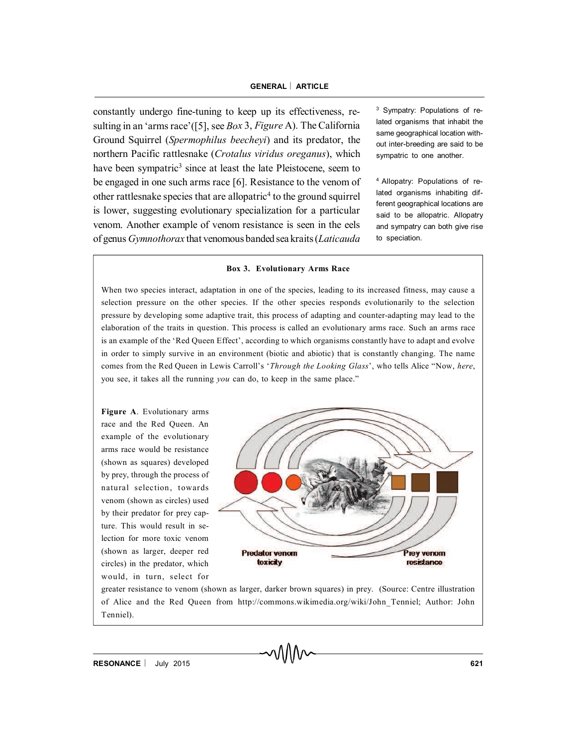constantly undergo fine-tuning to keep up its effectiveness, resulting in an 'arms race'([5], see *Box* 3, *Figure* A). The California Ground Squirrel (*Spermophilus beecheyi*) and its predator, the northern Pacific rattlesnake (*Crotalus viridus oreganus*), which have been sympatric<sup>3</sup> since at least the late Pleistocene, seem to be engaged in one such arms race [6]. Resistance to the venom of other rattlesnake species that are allopatric<sup>4</sup> to the ground squirrel is lower, suggesting evolutionary specialization for a particular venom. Another example of venom resistance is seen in the eels of genus *Gymnothorax* that venomous banded sea kraits (*Laticauda* <sup>3</sup> Sympatry: Populations of related organisms that inhabit the same geographical location without inter-breeding are said to be sympatric to one another.

<sup>4</sup> Allopatry: Populations of related organisms inhabiting different geographical locations are said to be allopatric. Allopatry and sympatry can both give rise to speciation.

#### **Box 3. Evolutionary Arms Race**

When two species interact, adaptation in one of the species, leading to its increased fitness, may cause a selection pressure on the other species. If the other species responds evolutionarily to the selection pressure by developing some adaptive trait, this process of adapting and counter-adapting may lead to the elaboration of the traits in question. This process is called an evolutionary arms race. Such an arms race is an example of the 'Red Queen Effect', according to which organisms constantly have to adapt and evolve in order to simply survive in an environment (biotic and abiotic) that is constantly changing. The name comes from the Red Queen in Lewis Carroll's '*Through the Looking Glass*', who tells Alice "Now, *here*, you see, it takes all the running *you* can do, to keep in the same place."

**Figure A**. Evolutionary arms race and the Red Queen. An example of the evolutionary arms race would be resistance (shown as squares) developed by prey, through the process of natural selection, towards venom (shown as circles) used by their predator for prey capture. This would result in selection for more toxic venom (shown as larger, deeper red circles) in the predator, which would, in turn, select for



greater resistance to venom (shown as larger, darker brown squares) in prey. (Source: Centre illustration of Alice and the Red Queen from http://commons.wikimedia.org/wiki/John\_Tenniel; Author: John Tenniel).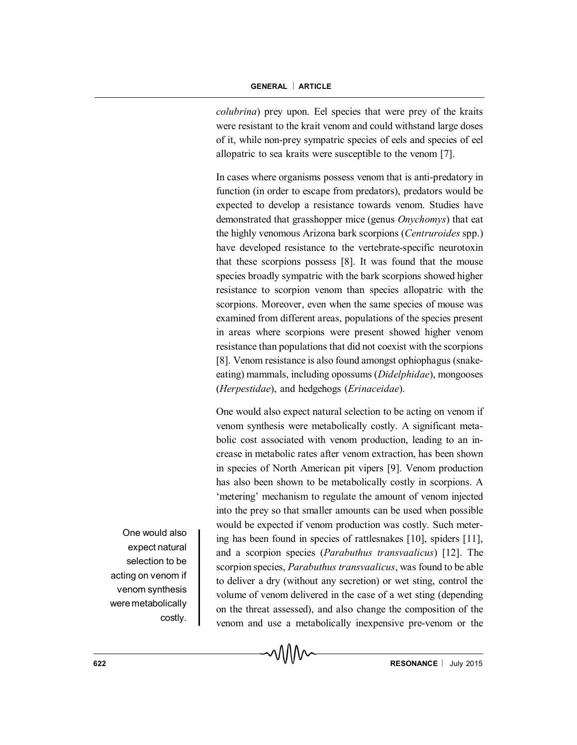*colubrina*) prey upon. Eel species that were prey of the kraits were resistant to the krait venom and could withstand large doses of it, while non-prey sympatric species of eels and species of eel allopatric to sea kraits were susceptible to the venom [7].

In cases where organisms possess venom that is anti-predatory in function (in order to escape from predators), predators would be expected to develop a resistance towards venom. Studies have demonstrated that grasshopper mice (genus *Onychomys*) that eat the highly venomous Arizona bark scorpions (*Centruroides* spp.) have developed resistance to the vertebrate-specific neurotoxin that these scorpions possess [8]. It was found that the mouse species broadly sympatric with the bark scorpions showed higher resistance to scorpion venom than species allopatric with the scorpions. Moreover, even when the same species of mouse was examined from different areas, populations of the species present in areas where scorpions were present showed higher venom resistance than populations that did not coexist with the scorpions [8]. Venom resistance is also found amongst ophiophagus (snakeeating) mammals, including opossums (*Didelphidae*), mongooses (*Herpestidae*), and hedgehogs (*Erinaceidae*).

One would also expect natural selection to be acting on venom if venom synthesis were metabolically costly. A significant metabolic cost associated with venom production, leading to an increase in metabolic rates after venom extraction, has been shown in species of North American pit vipers [9]. Venom production has also been shown to be metabolically costly in scorpions. A 'metering' mechanism to regulate the amount of venom injected into the prey so that smaller amounts can be used when possible would be expected if venom production was costly. Such metering has been found in species of rattlesnakes [10], spiders [11], and a scorpion species (*Parabuthus transvaalicus*) [12]. The scorpion species, *Parabuthus transvaalicus*, was found to be able to deliver a dry (without any secretion) or wet sting, control the volume of venom delivered in the case of a wet sting (depending on the threat assessed), and also change the composition of the venom and use a metabolically inexpensive pre-venom or the

One would also expect natural selection to be acting on venom if venom synthesis were metabolically costly.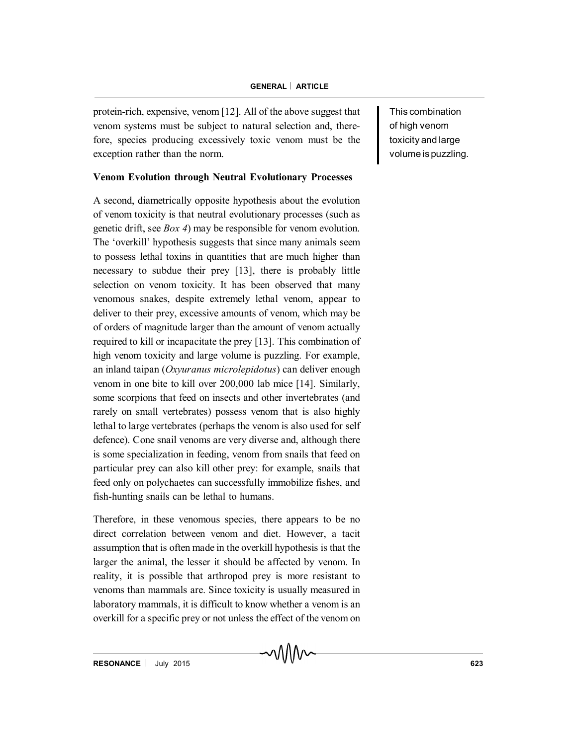protein-rich, expensive, venom [12]. All of the above suggest that venom systems must be subject to natural selection and, therefore, species producing excessively toxic venom must be the exception rather than the norm.

# **Venom Evolution through Neutral Evolutionary Processes**

A second, diametrically opposite hypothesis about the evolution of venom toxicity is that neutral evolutionary processes (such as genetic drift, see *Box 4*) may be responsible for venom evolution. The 'overkill' hypothesis suggests that since many animals seem to possess lethal toxins in quantities that are much higher than necessary to subdue their prey [13], there is probably little selection on venom toxicity. It has been observed that many venomous snakes, despite extremely lethal venom, appear to deliver to their prey, excessive amounts of venom, which may be of orders of magnitude larger than the amount of venom actually required to kill or incapacitate the prey [13]. This combination of high venom toxicity and large volume is puzzling. For example, an inland taipan (*Oxyuranus microlepidotus*) can deliver enough venom in one bite to kill over 200,000 lab mice [14]. Similarly, some scorpions that feed on insects and other invertebrates (and rarely on small vertebrates) possess venom that is also highly lethal to large vertebrates (perhaps the venom is also used for self defence). Cone snail venoms are very diverse and, although there is some specialization in feeding, venom from snails that feed on particular prey can also kill other prey: for example, snails that feed only on polychaetes can successfully immobilize fishes, and fish-hunting snails can be lethal to humans.

Therefore, in these venomous species, there appears to be no direct correlation between venom and diet. However, a tacit assumption that is often made in the overkill hypothesis is that the larger the animal, the lesser it should be affected by venom. In reality, it is possible that arthropod prey is more resistant to venoms than mammals are. Since toxicity is usually measured in laboratory mammals, it is difficult to know whether a venom is an overkill for a specific prey or not unless the effect of the venom on

This combination of high venom toxicity and large volume is puzzling.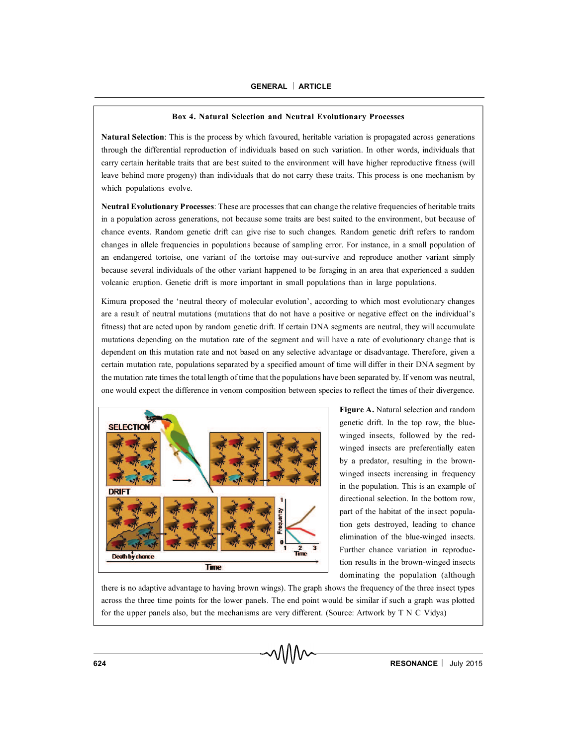#### **Box 4. Natural Selection and Neutral Evolutionary Processes**

**Natural Selection**: This is the process by which favoured, heritable variation is propagated across generations through the differential reproduction of individuals based on such variation. In other words, individuals that carry certain heritable traits that are best suited to the environment will have higher reproductive fitness (will leave behind more progeny) than individuals that do not carry these traits. This process is one mechanism by which populations evolve.

**Neutral Evolutionary Processes**: These are processes that can change the relative frequencies of heritable traits in a population across generations, not because some traits are best suited to the environment, but because of chance events. Random genetic drift can give rise to such changes. Random genetic drift refers to random changes in allele frequencies in populations because of sampling error. For instance, in a small population of an endangered tortoise, one variant of the tortoise may out-survive and reproduce another variant simply because several individuals of the other variant happened to be foraging in an area that experienced a sudden volcanic eruption. Genetic drift is more important in small populations than in large populations.

Kimura proposed the 'neutral theory of molecular evolution', according to which most evolutionary changes are a result of neutral mutations (mutations that do not have a positive or negative effect on the individual's fitness) that are acted upon by random genetic drift. If certain DNA segments are neutral, they will accumulate mutations depending on the mutation rate of the segment and will have a rate of evolutionary change that is dependent on this mutation rate and not based on any selective advantage or disadvantage. Therefore, given a certain mutation rate, populations separated by a specified amount of time will differ in their DNA segment by the mutation rate times the total length of time that the populations have been separated by. If venom was neutral, one would expect the difference in venom composition between species to reflect the times of their divergence.



**Figure A.** Natural selection and random genetic drift. In the top row, the bluewinged insects, followed by the redwinged insects are preferentially eaten by a predator, resulting in the brownwinged insects increasing in frequency in the population. This is an example of directional selection. In the bottom row, part of the habitat of the insect population gets destroyed, leading to chance elimination of the blue-winged insects. Further chance variation in reproduction results in the brown-winged insects dominating the population (although

there is no adaptive advantage to having brown wings). The graph shows the frequency of the three insect types across the three time points for the lower panels. The end point would be similar if such a graph was plotted for the upper panels also, but the mechanisms are very different. (Source: Artwork by T N C Vidya)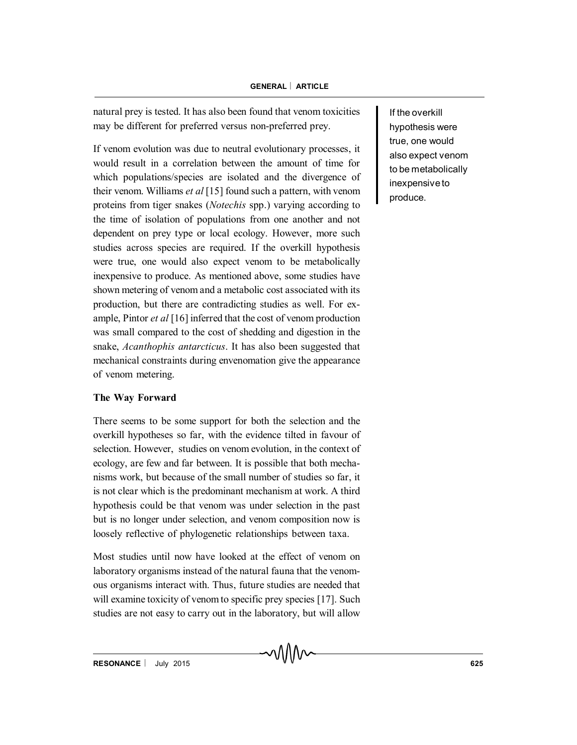natural prey is tested. It has also been found that venom toxicities may be different for preferred versus non-preferred prey.

If venom evolution was due to neutral evolutionary processes, it would result in a correlation between the amount of time for which populations/species are isolated and the divergence of their venom. Williams *et al* [15] found such a pattern, with venom proteins from tiger snakes (*Notechis* spp.) varying according to the time of isolation of populations from one another and not dependent on prey type or local ecology. However, more such studies across species are required. If the overkill hypothesis were true, one would also expect venom to be metabolically inexpensive to produce. As mentioned above, some studies have shown metering of venom and a metabolic cost associated with its production, but there are contradicting studies as well. For example, Pintor *et al* [16] inferred that the cost of venom production was small compared to the cost of shedding and digestion in the snake, *Acanthophis antarcticus*. It has also been suggested that mechanical constraints during envenomation give the appearance of venom metering.

# **The Way Forward**

There seems to be some support for both the selection and the overkill hypotheses so far, with the evidence tilted in favour of selection. However, studies on venom evolution, in the context of ecology, are few and far between. It is possible that both mechanisms work, but because of the small number of studies so far, it is not clear which is the predominant mechanism at work. A third hypothesis could be that venom was under selection in the past but is no longer under selection, and venom composition now is loosely reflective of phylogenetic relationships between taxa.

Most studies until now have looked at the effect of venom on laboratory organisms instead of the natural fauna that the venomous organisms interact with. Thus, future studies are needed that will examine toxicity of venom to specific prey species [17]. Such studies are not easy to carry out in the laboratory, but will allow

If the overkill hypothesis were true, one would also expect venom to be metabolically inexpensiveto produce.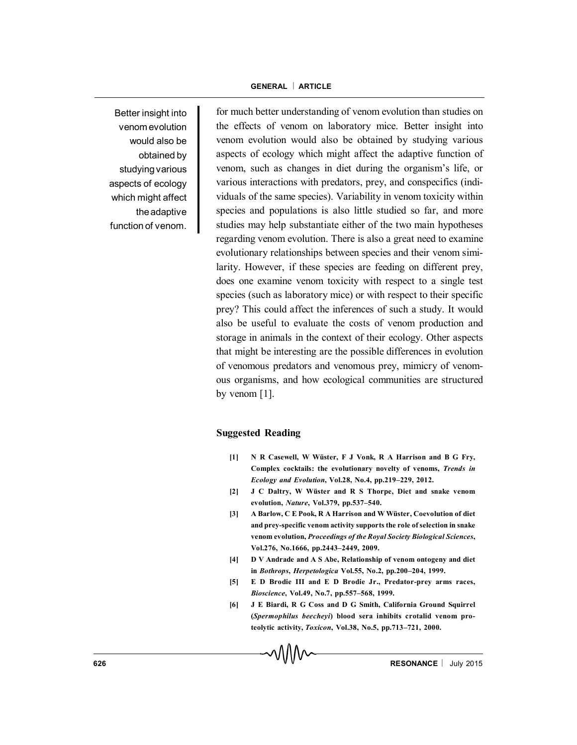Better insight into venom evolution would also be obtained by studying various aspects of ecology which might affect the adaptive function of venom.

for much better understanding of venom evolution than studies on the effects of venom on laboratory mice. Better insight into venom evolution would also be obtained by studying various aspects of ecology which might affect the adaptive function of venom, such as changes in diet during the organism's life, or various interactions with predators, prey, and conspecifics (individuals of the same species). Variability in venom toxicity within species and populations is also little studied so far, and more studies may help substantiate either of the two main hypotheses regarding venom evolution. There is also a great need to examine evolutionary relationships between species and their venom similarity. However, if these species are feeding on different prey, does one examine venom toxicity with respect to a single test species (such as laboratory mice) or with respect to their specific prey? This could affect the inferences of such a study. It would also be useful to evaluate the costs of venom production and storage in animals in the context of their ecology. Other aspects that might be interesting are the possible differences in evolution of venomous predators and venomous prey, mimicry of venomous organisms, and how ecological communities are structured by venom [1].

# **Suggested Reading**

- **[1] N R Casewell, W Wüster, F J Vonk, R A Harrison and B G Fry, Complex cocktails: the evolutionary novelty of venoms,** *Trends in Ecology and Evolution***, Vol.28, No.4, pp.219–229, 2012.**
- **[2] J C Daltry, W Wüster and R S Thorpe, Diet and snake venom evolution,** *Nature***, Vol.379, pp.537–540.**
- **[3] A Barlow, C E Pook, R A Harrison and W Wüster, Coevolution of diet and prey-specific venom activity supports the role of selection in snake venom evolution,** *Proceedings of the Royal Society Biological Sciences***, Vol.276, No.1666, pp.2443–2449, 2009.**
- **[4] D V Andrade and A S Abe, Relationship of venom ontogeny and diet in** *Bothrops***,** *Herpetologica* **Vol.55, No.2, pp.200–204, 1999.**
- **[5] E D Brodie III and E D Brodie Jr., Predator-prey arms races,** *Bioscience***, Vol.49, No.7, pp.557–568, 1999.**
- **[6] J E Biardi, R G Coss and D G Smith, California Ground Squirrel (***Spermophilus beecheyi***) blood sera inhibits crotalid venom proteolytic activity,** *Toxicon***, Vol.38, No.5, pp.713–721, 2000.**